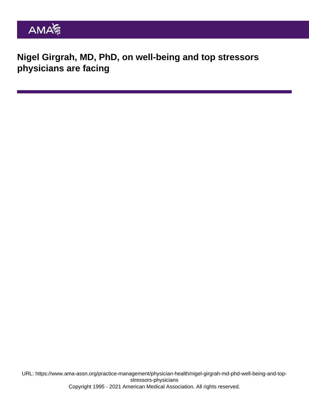Nigel Girgrah, MD, PhD, on well-being and top stressors physicians are facing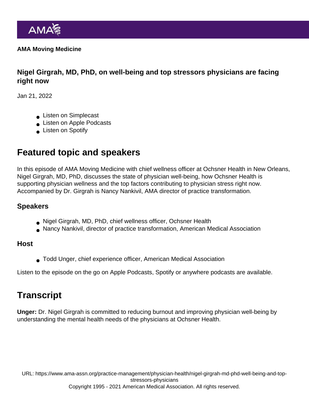AMA Moving Medicine

Nigel Girgrah, MD, PhD, on well-being and top stressors physicians are facing right now

Jan 21, 2022

- **Listen on Simplecast**
- **Listen on Apple Podcasts**
- **Listen on Spotify**

## Featured topic and speakers

In this episode of AMA Moving Medicine with chief wellness officer at Ochsner Health in New Orleans, Nigel Girgrah, MD, PhD, discusses the state of physician well-being, how Ochsner Health is supporting physician wellness and the top factors contributing to physician stress right now. Accompanied by Dr. Girgrah is Nancy Nankivil, AMA director of practice transformation.

## Speakers

- Nigel Girgrah, MD, PhD, chief wellness officer, Ochsner Health
- Nancy Nankivil, director of practice transformation, American Medical Association

## Host

Todd Unger, chief experience officer, American Medical Association

Listen to the episode on the go on [Apple Podcasts,](https://podcasts.apple.com/us/podcast/nigel-girgrah-md-phd-on-well-being-and-top-stressors/id1428853046?i=1000548573993) [Spotify](https://open.spotify.com/episode/1CgGOSOLLMEOApvd6Hnfu2?si=2ed79003e57b4a0d) or [anywhere podcasts](https://ama-moving-medicine.simplecast.com/episodes/nigel-girgrah-md-phd-on-well-being-and-top-stressors-physicians-are-facing-right-now) are available.

## **Transcript**

Unger: Dr. Nigel Girgrah is committed to reducing burnout and improving physician well-being by understanding the mental health needs of the physicians at Ochsner Health.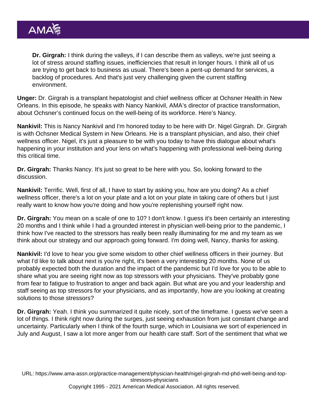Dr. Girgrah: I think during the valleys, if I can describe them as valleys, we're just seeing a lot of stress around staffing issues, inefficiencies that result in longer hours. I think all of us are trying to get back to business as usual. There's been a pent-up demand for services, a backlog of procedures. And that's just very challenging given the current staffing environment.

Unger: Dr. Girgrah is a transplant hepatologist and chief wellness officer at Ochsner Health in New Orleans. In this episode, he speaks with Nancy Nankivil, AMA's director of practice transformation, about Ochsner's continued focus on the well-being of its workforce. Here's Nancy.

Nankivil: This is Nancy Nankivil and I'm honored today to be here with Dr. Nigel Girgrah. Dr. Girgrah is with Ochsner Medical System in New Orleans. He is a transplant physician, and also, their chief wellness officer. Nigel, it's just a pleasure to be with you today to have this dialogue about what's happening in your institution and your lens on what's happening with professional well-being during this critical time.

Dr. Girgrah: Thanks Nancy. It's just so great to be here with you. So, looking forward to the discussion.

Nankivil: Terrific. Well, first of all, I have to start by asking you, how are you doing? As a chief wellness officer, there's a lot on your plate and a lot on your plate in taking care of others but I just really want to know how you're doing and how you're replenishing yourself right now.

Dr. Girgrah: You mean on a scale of one to 10? I don't know. I guess it's been certainly an interesting 20 months and I think while I had a grounded interest in physician well-being prior to the pandemic, I think how I've reacted to the stressors has really been really illuminating for me and my team as we think about our strategy and our approach going forward. I'm doing well, Nancy, thanks for asking.

Nankivil: I'd love to hear you give some wisdom to other chief wellness officers in their journey. But what I'd like to talk about next is you're right, it's been a very interesting 20 months. None of us probably expected both the duration and the impact of the pandemic but I'd love for you to be able to share what you are seeing right now as top stressors with your physicians. They've probably gone from fear to fatigue to frustration to anger and back again. But what are you and your leadership and staff seeing as top stressors for your physicians, and as importantly, how are you looking at creating solutions to those stressors?

Dr. Girgrah: Yeah. I think you summarized it quite nicely, sort of the timeframe. I guess we've seen a lot of things. I think right now during the surges, just seeing exhaustion from just constant change and uncertainty. Particularly when I think of the fourth surge, which in Louisiana we sort of experienced in July and August, I saw a lot more anger from our health care staff. Sort of the sentiment that what we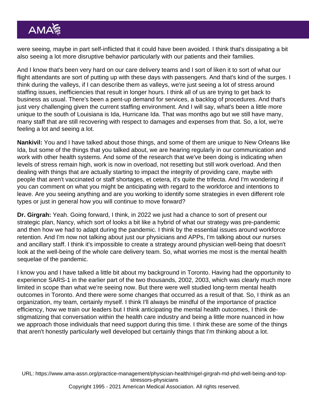were seeing, maybe in part self-inflicted that it could have been avoided. I think that's dissipating a bit also seeing a lot more disruptive behavior particularly with our patients and their families.

And I know that's been very hard on our care delivery teams and I sort of liken it to sort of what our flight attendants are sort of putting up with these days with passengers. And that's kind of the surges. I think during the valleys, if I can describe them as valleys, we're just seeing a lot of stress around staffing issues, inefficiencies that result in longer hours. I think all of us are trying to get back to business as usual. There's been a pent-up demand for services, a backlog of procedures. And that's just very challenging given the current staffing environment. And I will say, what's been a little more unique to the south of Louisiana is Ida, Hurricane Ida. That was months ago but we still have many, many staff that are still recovering with respect to damages and expenses from that. So, a lot, we're feeling a lot and seeing a lot.

Nankivil: You and I have talked about those things, and some of them are unique to New Orleans like Ida, but some of the things that you talked about, we are hearing regularly in our communication and work with other health systems. And some of the research that we've been doing is indicating when levels of stress remain high, work is now in overload, not resetting but still work overload. And then dealing with things that are actually starting to impact the integrity of providing care, maybe with people that aren't vaccinated or staff shortages, et cetera, it's quite the trifecta. And I'm wondering if you can comment on what you might be anticipating with regard to the workforce and intentions to leave. Are you seeing anything and are you working to identify some strategies in even different role types or just in general how you will continue to move forward?

Dr. Girgrah: Yeah. Going forward, I think, in 2022 we just had a chance to sort of present our strategic plan, Nancy, which sort of looks a bit like a hybrid of what our strategy was pre-pandemic and then how we had to adapt during the pandemic. I think by the essential issues around workforce retention. And I'm now not talking about just our physicians and APPs, I'm talking about our nurses and ancillary staff. I think it's impossible to create a strategy around physician well-being that doesn't look at the well-being of the whole care delivery team. So, what worries me most is the mental health sequelae of the pandemic.

I know you and I have talked a little bit about my background in Toronto. Having had the opportunity to experience SARS-1 in the earlier part of the two thousands, 2002, 2003, which was clearly much more limited in scope than what we're seeing now. But there were well studied long-term mental health outcomes in Toronto. And there were some changes that occurred as a result of that. So, I think as an organization, my team, certainly myself. I think I'll always be mindful of the importance of practice efficiency, how we train our leaders but I think anticipating the mental health outcomes, I think destigmatizing that conversation within the health care industry and being a little more nuanced in how we approach those individuals that need support during this time. I think these are some of the things that aren't honestly particularly well developed but certainly things that I'm thinking about a lot.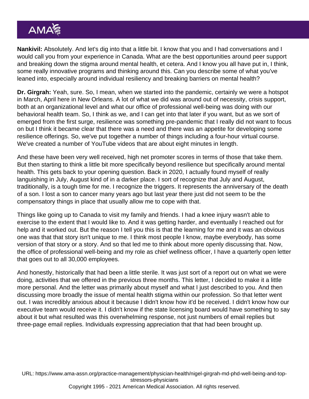Nankivil: Absolutely. And let's dig into that a little bit. I know that you and I had conversations and I would call you from your experience in Canada. What are the best opportunities around peer support and breaking down the stigma around mental health, et cetera. And I know you all have put in, I think, some really innovative programs and thinking around this. Can you describe some of what you've leaned into, especially around individual resiliency and breaking barriers on mental health?

Dr. Girgrah: Yeah, sure. So, I mean, when we started into the pandemic, certainly we were a hotspot in March, April here in New Orleans. A lot of what we did was around out of necessity, crisis support, both at an organizational level and what our office of professional well-being was doing with our behavioral health team. So, I think as we, and I can get into that later if you want, but as we sort of emerged from the first surge, resilience was something pre-pandemic that I really did not want to focus on but I think it became clear that there was a need and there was an appetite for developing some resilience offerings. So, we've put together a number of things including a four-hour virtual course. We've created a number of YouTube videos that are about eight minutes in length.

And these have been very well received, high net promoter scores in terms of those that take them. But then starting to think a little bit more specifically beyond resilience but specifically around mental health. This gets back to your opening question. Back in 2020, I actually found myself of really languishing in July, August kind of in a darker place. I sort of recognize that July and August, traditionally, is a tough time for me. I recognize the triggers. It represents the anniversary of the death of a son. I lost a son to cancer many years ago but last year there just did not seem to be the compensatory things in place that usually allow me to cope with that.

Things like going up to Canada to visit my family and friends. I had a knee injury wasn't able to exercise to the extent that I would like to. And it was getting harder, and eventually I reached out for help and it worked out. But the reason I tell you this is that the learning for me and it was an obvious one was that that story isn't unique to me. I think most people I know, maybe everybody, has some version of that story or a story. And so that led me to think about more openly discussing that. Now, the office of professional well-being and my role as chief wellness officer, I have a quarterly open letter that goes out to all 30,000 employees.

And honestly, historically that had been a little sterile. It was just sort of a report out on what we were doing, activities that we offered in the previous three months. This letter, I decided to make it a little more personal. And the letter was primarily about myself and what I just described to you. And then discussing more broadly the issue of mental health stigma within our profession. So that letter went out. I was incredibly anxious about it because I didn't know how it'd be received. I didn't know how our executive team would receive it. I didn't know if the state licensing board would have something to say about it but what resulted was this overwhelming response, not just numbers of email replies but three-page email replies. Individuals expressing appreciation that that had been brought up.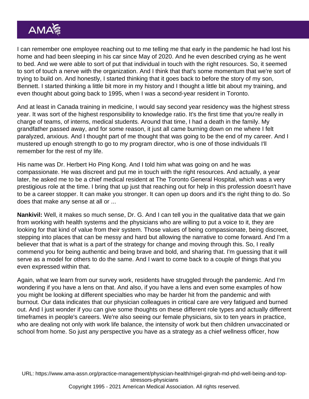I can remember one employee reaching out to me telling me that early in the pandemic he had lost his home and had been sleeping in his car since May of 2020. And he even described crying as he went to bed. And we were able to sort of put that individual in touch with the right resources. So, it seemed to sort of touch a nerve with the organization. And I think that that's some momentum that we're sort of trying to build on. And honestly, I started thinking that it goes back to before the story of my son, Bennett. I started thinking a little bit more in my history and I thought a little bit about my training, and even thought about going back to 1995, when I was a second-year resident in Toronto.

And at least in Canada training in medicine, I would say second year residency was the highest stress year. It was sort of the highest responsibility to knowledge ratio. It's the first time that you're really in charge of teams, of interns, medical students. Around that time, I had a death in the family. My grandfather passed away, and for some reason, it just all came burning down on me where I felt paralyzed, anxious. And I thought part of me thought that was going to be the end of my career. And I mustered up enough strength to go to my program director, who is one of those individuals I'll remember for the rest of my life.

His name was Dr. Herbert Ho Ping Kong. And I told him what was going on and he was compassionate. He was discreet and put me in touch with the right resources. And actually, a year later, he asked me to be a chief medical resident at The Toronto General Hospital, which was a very prestigious role at the time. I bring that up just that reaching out for help in this profession doesn't have to be a career stopper. It can make you stronger. It can open up doors and it's the right thing to do. So does that make any sense at all or ...

Nankivil: Well, it makes so much sense, Dr. G. And I can tell you in the qualitative data that we gain from working with health systems and the physicians who are willing to put a voice to it, they are looking for that kind of value from their system. Those values of being compassionate, being discreet, stepping into places that can be messy and hard but allowing the narrative to come forward. And I'm a believer that that is what is a part of the strategy for change and moving through this. So, I really commend you for being authentic and being brave and bold, and sharing that. I'm guessing that it will serve as a model for others to do the same. And I want to come back to a couple of things that you even expressed within that.

Again, what we learn from our survey work, residents have struggled through the pandemic. And I'm wondering if you have a lens on that. And also, if you have a lens and even some examples of how you might be looking at different specialties who may be harder hit from the pandemic and with burnout. Our data indicates that our physician colleagues in critical care are very fatigued and burned out. And I just wonder if you can give some thoughts on these different role types and actually different timeframes in people's careers. We're also seeing our female physicians, six to ten years in practice, who are dealing not only with work life balance, the intensity of work but then children unvaccinated or school from home. So just any perspective you have as a strategy as a chief wellness officer, how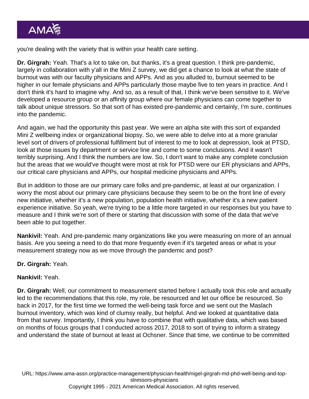you're dealing with the variety that is within your health care setting.

Dr. Girgrah: Yeah. That's a lot to take on, but thanks, it's a great question. I think pre-pandemic, largely in collaboration with y'all in the Mini Z survey, we did get a chance to look at what the state of burnout was with our faculty physicians and APPs. And as you alluded to, burnout seemed to be higher in our female physicians and APPs particularly those maybe five to ten years in practice. And I don't think it's hard to imagine why. And so, as a result of that, I think we've been sensitive to it. We've developed a resource group or an affinity group where our female physicians can come together to talk about unique stressors. So that sort of has existed pre-pandemic and certainly, I'm sure, continues into the pandemic.

And again, we had the opportunity this past year. We were an alpha site with this sort of expanded Mini Z wellbeing index or organizational biopsy. So, we were able to delve into at a more granular level sort of drivers of professional fulfillment but of interest to me to look at depression, look at PTSD, look at those issues by department or service line and come to some conclusions. And it wasn't terribly surprising. And I think the numbers are low. So, I don't want to make any complete conclusion but the areas that we would've thought were most at risk for PTSD were our ER physicians and APPs, our critical care physicians and APPs, our hospital medicine physicians and APPs.

But in addition to those are our primary care folks and pre-pandemic, at least at our organization. I worry the most about our primary care physicians because they seem to be on the front line of every new initiative, whether it's a new population, population health initiative, whether it's a new patient experience initiative. So yeah, we're trying to be a little more targeted in our responses but you have to measure and I think we're sort of there or starting that discussion with some of the data that we've been able to put together.

Nankivil: Yeah. And pre-pandemic many organizations like you were measuring on more of an annual basis. Are you seeing a need to do that more frequently even if it's targeted areas or what is your measurement strategy now as we move through the pandemic and post?

Dr. Girgrah: Yeah.

Nankivil: Yeah.

Dr. Girgrah: Well, our commitment to measurement started before I actually took this role and actually led to the recommendations that this role, my role, be resourced and let our office be resourced. So back in 2017, for the first time we formed the well-being task force and we sent out the Maslach burnout inventory, which was kind of clumsy really, but helpful. And we looked at quantitative data from that survey. Importantly, I think you have to combine that with qualitative data, which was based on months of focus groups that I conducted across 2017, 2018 to sort of trying to inform a strategy and understand the state of burnout at least at Ochsner. Since that time, we continue to be committed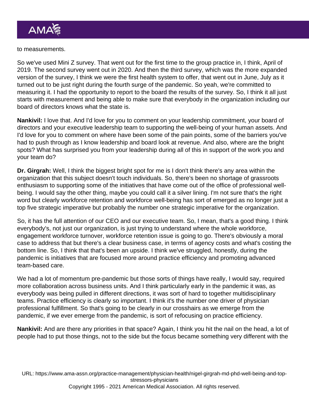to measurements.

So we've used Mini Z survey. That went out for the first time to the group practice in, I think, April of 2019. The second survey went out in 2020. And then the third survey, which was the more expanded version of the survey, I think we were the first health system to offer, that went out in June, July as it turned out to be just right during the fourth surge of the pandemic. So yeah, we're committed to measuring it. I had the opportunity to report to the board the results of the survey. So, I think it all just starts with measurement and being able to make sure that everybody in the organization including our board of directors knows what the state is.

Nankivil: I love that. And I'd love for you to comment on your leadership commitment, your board of directors and your executive leadership team to supporting the well-being of your human assets. And I'd love for you to comment on where have been some of the pain points, some of the barriers you've had to push through as I know leadership and board look at revenue. And also, where are the bright spots? What has surprised you from your leadership during all of this in support of the work you and your team do?

Dr. Girgrah: Well, I think the biggest bright spot for me is I don't think there's any area within the organization that this subject doesn't touch individuals. So, there's been no shortage of grassroots enthusiasm to supporting some of the initiatives that have come out of the office of professional wellbeing. I would say the other thing, maybe you could call it a silver lining. I'm not sure that's the right word but clearly workforce retention and workforce well-being has sort of emerged as no longer just a top five strategic imperative but probably the number one strategic imperative for the organization.

So, it has the full attention of our CEO and our executive team. So, I mean, that's a good thing. I think everybody's, not just our organization, is just trying to understand where the whole workforce, engagement workforce turnover, workforce retention issue is going to go. There's obviously a moral case to address that but there's a clear business case, in terms of agency costs and what's costing the bottom line. So, I think that that's been an upside. I think we've struggled, honestly, during the pandemic is initiatives that are focused more around practice efficiency and promoting advanced team-based care.

We had a lot of momentum pre-pandemic but those sorts of things have really, I would say, required more collaboration across business units. And I think particularly early in the pandemic it was, as everybody was being pulled in different directions, it was sort of hard to together multidisciplinary teams. Practice efficiency is clearly so important. I think it's the number one driver of physician professional fulfillment. So that's going to be clearly in our crosshairs as we emerge from the pandemic, if we ever emerge from the pandemic, is sort of refocusing on practice efficiency.

Nankivil: And are there any priorities in that space? Again, I think you hit the nail on the head, a lot of people had to put those things, not to the side but the focus became something very different with the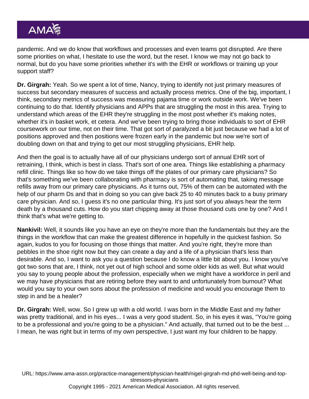pandemic. And we do know that workflows and processes and even teams got disrupted. Are there some priorities on what, I hesitate to use the word, but the reset. I know we may not go back to normal, but do you have some priorities whether it's with the EHR or workflows or training up your support staff?

Dr. Girgrah: Yeah. So we spent a lot of time, Nancy, trying to identify not just primary measures of success but secondary measures of success and actually process metrics. One of the big, important, I think, secondary metrics of success was measuring pajama time or work outside work. We've been continuing to do that. Identify physicians and APPs that are struggling the most in this area. Trying to understand which areas of the EHR they're struggling in the most post whether it's making notes, whether it's in basket work, et cetera. And we've been trying to bring those individuals to sort of EHR coursework on our time, not on their time. That got sort of paralyzed a bit just because we had a lot of positions approved and then positions were frozen early in the pandemic but now we're sort of doubling down on that and trying to get our most struggling physicians, EHR help.

And then the goal is to actually have all of our physicians undergo sort of annual EHR sort of retraining, I think, which is best in class. That's sort of one area. Things like establishing a pharmacy refill clinic. Things like so how do we take things off the plates of our primary care physicians? So that's something we've been collaborating with pharmacy is sort of automating that, taking message refills away from our primary care physicians. As it turns out, 75% of them can be automated with the help of our pharm Ds and that in doing so you can give back 25 to 40 minutes back to a busy primary care physician. And so, I guess it's no one particular thing. It's just sort of you always hear the term death by a thousand cuts. How do you start chipping away at those thousand cuts one by one? And I think that's what we're getting to.

Nankivil: Well, it sounds like you have an eye on they're more than the fundamentals but they are the things in the workflow that can make the greatest difference in hopefully in the quickest fashion. So again, kudos to you for focusing on those things that matter. And you're right, they're more than pebbles in the shoe right now but they can create a day and a life of a physician that's less than desirable. And so, I want to ask you a question because I do know a little bit about you. I know you've got two sons that are, I think, not yet out of high school and some older kids as well. But what would you say to young people about the profession, especially when we might have a workforce in peril and we may have physicians that are retiring before they want to and unfortunately from burnout? What would you say to your own sons about the profession of medicine and would you encourage them to step in and be a healer?

Dr. Girgrah: Well, wow. So I grew up with a old world. I was born in the Middle East and my father was pretty traditional, and in his eyes... I was a very good student. So, in his eyes it was, "You're going to be a professional and you're going to be a physician." And actually, that turned out to be the best ... I mean, he was right but in terms of my own perspective, I just want my four children to be happy.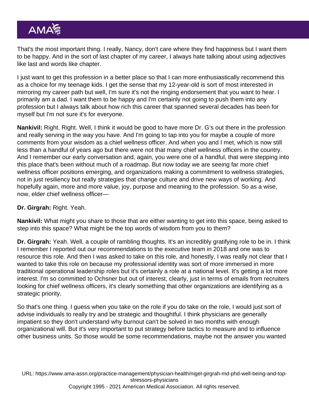That's the most important thing. I really, Nancy, don't care where they find happiness but I want them to be happy. And in the sort of last chapter of my career, I always hate talking about using adjectives like last and words like chapter.

I just want to get this profession in a better place so that I can more enthusiastically recommend this as a choice for my teenage kids. I get the sense that my 12-year-old is sort of most interested in mirroring my career path but well, I'm sure it's not the ringing endorsement that you want to hear. I primarily am a dad. I want them to be happy and I'm certainly not going to push them into any profession but I always talk about how rich this career that spanned several decades has been for myself but I'm not sure it's for everyone.

Nankivil: Right. Right. Well, I think it would be good to have more Dr. G's out there in the profession and really serving in the way you have. And I'm going to tap into you for maybe a couple of more comments from your wisdom as a chief wellness officer. And when you and I met, which is now still less than a handful of years ago but there were not that many chief wellness officers in the country. And I remember our early conversation and, again, you were one of a handful, that were stepping into this place that's been without much of a roadmap. But now today we are seeing far more chief wellness officer positions emerging, and organizations making a commitment to wellness strategies, not in just resiliency but really strategies that change culture and drive new ways of working. And hopefully again, more and more value, joy, purpose and meaning to the profession. So as a wise, now, elder chief wellness officer—

Dr. Girgrah: Right. Yeah.

Nankivil: What might you share to those that are either wanting to get into this space, being asked to step into this space? What might be the top words of wisdom from you to them?

Dr. Girgrah: Yeah. Well, a couple of rambling thoughts. It's an incredibly gratifying role to be in. I think I remember I reported out our recommendations to the executive team in 2018 and one was to resource this role. And then I was asked to take on this role, and honestly, I was really not clear that I wanted to take this role on because my professional identity was sort of more immersed in more traditional operational leadership roles but it's certainly a role at a national level. It's getting a lot more interest. I'm so committed to Ochsner but out of interest, clearly, just in terms of emails from recruiters looking for chief wellness officers, it's clearly something that other organizations are identifying as a strategic priority.

So that's one thing. I guess when you take on the role if you do take on the role, I would just sort of advise individuals to really try and be strategic and thoughtful. I think physicians are generally impatient so they don't understand why burnout can't be solved in two months with enough organizational will. But it's very important to put strategy before tactics to measure and to influence other business units. So those would be some recommendations, maybe not the answer you wanted